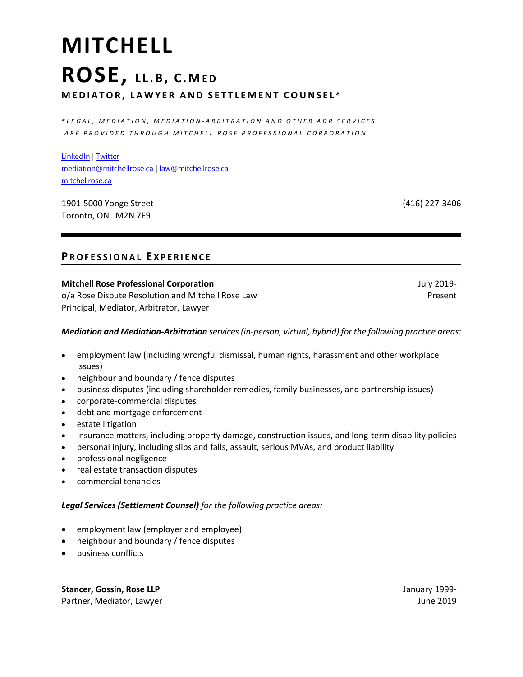# **MITCHELL ROSE, L L . B , C . ME D M E D I A T O R , L A W Y E R A N D S E T T L E M E N T C O U N S E L \***

*\* L E G A L , M E D I A T I O N , M E D I A T I O N - A R B I T R A T I O N A N D O T H E R A D R S E R V I C E S A R E P R O V I D E D T H R O U G H M I T C H E L L R O S E P R O F E S S I O N A L C O R P O R A T I O N*

LinkedIn | Twitter mediation@mitchellrose.ca | law@mitchellrose.ca mitchellrose.ca

1901-5000 Yonge Street Toronto, ON M2N 7E9

(416) 227-3406

## **P R O F E S S I O N A L E X P E R I E N C E**

#### **Mitchell Rose Professional Corporation**

o/a Rose Dispute Resolution and Mitchell Rose Law Principal, Mediator, Arbitrator, Lawyer

July 2019- Present

#### *Mediation and Mediation-Arbitration services (in-person, virtual, hybrid) for the following practice areas:*

- employment law (including wrongful dismissal, human rights, harassment and other workplace issues)
- neighbour and boundary / fence disputes
- business disputes (including shareholder remedies, family businesses, and partnership issues)
- corporate-commercial disputes
- debt and mortgage enforcement
- estate litigation
- insurance matters, including property damage, construction issues, and long-term disability policies
- personal injury, including slips and falls, assault, serious MVAs, and product liability
- professional negligence
- real estate transaction disputes
- commercial tenancies

#### *Legal Services (Settlement Counsel) for the following practice areas:*

- employment law (employer and employee)
- neighbour and boundary / fence disputes
- business conflicts

**Stancer, Gossin, Rose LLP**  Partner, Mediator, Lawyer January 1999- June 2019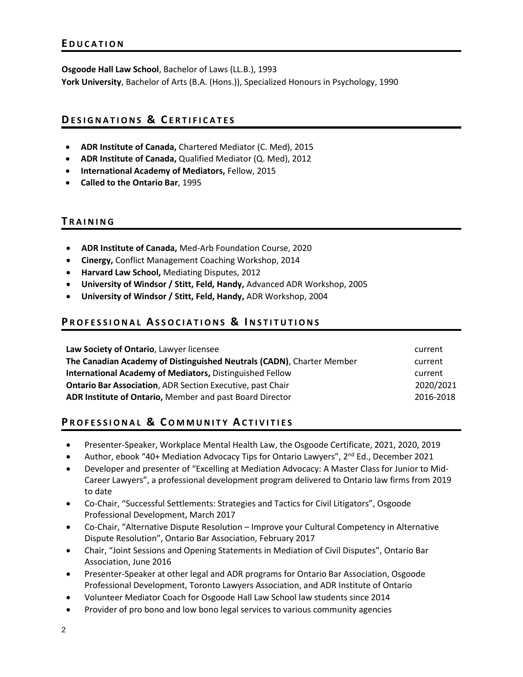**Osgoode Hall Law School**, Bachelor of Laws (LL.B.), 1993 **York University**, Bachelor of Arts (B.A. (Hons.)), Specialized Honours in Psychology, 1990

## **DE S I G N A T I O N S & C E R T I F I C A T E S**

- **ADR Institute of Canada,** Chartered Mediator (C. Med), 2015
- **ADR Institute of Canada,** Qualified Mediator (Q. Med), 2012
- **International Academy of Mediators,** Fellow, 2015
- **Called to the Ontario Bar**, 1995

#### **T R A I N I N G**

- **ADR Institute of Canada,** Med-Arb Foundation Course, 2020
- **Cinergy,** Conflict Management Coaching Workshop, 2014
- **Harvard Law School,** Mediating Disputes, 2012
- **University of Windsor / Stitt, Feld, Handy,** Advanced ADR Workshop, 2005
- **University of Windsor / Stitt, Feld, Handy,** ADR Workshop, 2004

### **PROFESSIONAL ASSOCIATIONS & INSTITUTIONS**

| Law Society of Ontario, Lawyer licensee                               | current   |
|-----------------------------------------------------------------------|-----------|
| The Canadian Academy of Distinguished Neutrals (CADN), Charter Member | current   |
| <b>International Academy of Mediators, Distinguished Fellow</b>       | current   |
| <b>Ontario Bar Association, ADR Section Executive, past Chair</b>     | 2020/2021 |
| ADR Institute of Ontario, Member and past Board Director              | 2016-2018 |

## **PROFESSIONAL & COMMUNITY ACTIVITIES**

- Presenter-Speaker, Workplace Mental Health Law, the Osgoode Certificate, 2021, 2020, 2019
- Author, ebook "40+ Mediation Advocacy Tips for Ontario Lawyers", 2<sup>nd</sup> Ed., December 2021
- Developer and presenter of "Excelling at Mediation Advocacy: A Master Class for Junior to Mid-Career Lawyers", a professional development program delivered to Ontario law firms from 2019 to date
- Co-Chair, "Successful Settlements: Strategies and Tactics for Civil Litigators", Osgoode Professional Development, March 2017
- Co-Chair, "Alternative Dispute Resolution Improve your Cultural Competency in Alternative Dispute Resolution", Ontario Bar Association, February 2017
- Chair, "Joint Sessions and Opening Statements in Mediation of Civil Disputes", Ontario Bar Association, June 2016
- Presenter-Speaker at other legal and ADR programs for Ontario Bar Association, Osgoode Professional Development, Toronto Lawyers Association, and ADR Institute of Ontario
- Volunteer Mediator Coach for Osgoode Hall Law School law students since 2014
- Provider of pro bono and low bono legal services to various community agencies